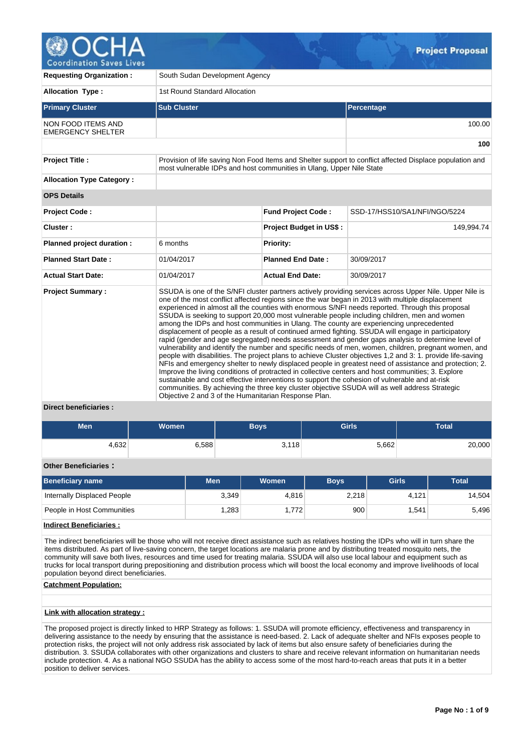

| <b>Requesting Organization:</b>                       | South Sudan Development Agency                                                                                                                                                   |                                |                                                                                                                                                                                                                                                                                                                                                                                                                                                                                                                                                                                                                                                                                                                                                                                                                                                                                                                                                                                                                                                                                                                                                                                                                                                                                                                                                                  |  |  |  |  |  |  |  |
|-------------------------------------------------------|----------------------------------------------------------------------------------------------------------------------------------------------------------------------------------|--------------------------------|------------------------------------------------------------------------------------------------------------------------------------------------------------------------------------------------------------------------------------------------------------------------------------------------------------------------------------------------------------------------------------------------------------------------------------------------------------------------------------------------------------------------------------------------------------------------------------------------------------------------------------------------------------------------------------------------------------------------------------------------------------------------------------------------------------------------------------------------------------------------------------------------------------------------------------------------------------------------------------------------------------------------------------------------------------------------------------------------------------------------------------------------------------------------------------------------------------------------------------------------------------------------------------------------------------------------------------------------------------------|--|--|--|--|--|--|--|
| <b>Allocation Type:</b>                               | 1st Round Standard Allocation                                                                                                                                                    |                                |                                                                                                                                                                                                                                                                                                                                                                                                                                                                                                                                                                                                                                                                                                                                                                                                                                                                                                                                                                                                                                                                                                                                                                                                                                                                                                                                                                  |  |  |  |  |  |  |  |
| <b>Primary Cluster</b>                                | <b>Sub Cluster</b>                                                                                                                                                               |                                | Percentage                                                                                                                                                                                                                                                                                                                                                                                                                                                                                                                                                                                                                                                                                                                                                                                                                                                                                                                                                                                                                                                                                                                                                                                                                                                                                                                                                       |  |  |  |  |  |  |  |
| <b>NON FOOD ITEMS AND</b><br><b>EMERGENCY SHELTER</b> |                                                                                                                                                                                  |                                | 100.00                                                                                                                                                                                                                                                                                                                                                                                                                                                                                                                                                                                                                                                                                                                                                                                                                                                                                                                                                                                                                                                                                                                                                                                                                                                                                                                                                           |  |  |  |  |  |  |  |
|                                                       |                                                                                                                                                                                  |                                | 100                                                                                                                                                                                                                                                                                                                                                                                                                                                                                                                                                                                                                                                                                                                                                                                                                                                                                                                                                                                                                                                                                                                                                                                                                                                                                                                                                              |  |  |  |  |  |  |  |
| <b>Project Title:</b>                                 | Provision of life saving Non Food Items and Shelter support to conflict affected Displace population and<br>most vulnerable IDPs and host communities in Ulang, Upper Nile State |                                |                                                                                                                                                                                                                                                                                                                                                                                                                                                                                                                                                                                                                                                                                                                                                                                                                                                                                                                                                                                                                                                                                                                                                                                                                                                                                                                                                                  |  |  |  |  |  |  |  |
| <b>Allocation Type Category:</b>                      |                                                                                                                                                                                  |                                |                                                                                                                                                                                                                                                                                                                                                                                                                                                                                                                                                                                                                                                                                                                                                                                                                                                                                                                                                                                                                                                                                                                                                                                                                                                                                                                                                                  |  |  |  |  |  |  |  |
| <b>OPS Details</b>                                    |                                                                                                                                                                                  |                                |                                                                                                                                                                                                                                                                                                                                                                                                                                                                                                                                                                                                                                                                                                                                                                                                                                                                                                                                                                                                                                                                                                                                                                                                                                                                                                                                                                  |  |  |  |  |  |  |  |
| <b>Project Code:</b>                                  |                                                                                                                                                                                  | <b>Fund Project Code:</b>      | SSD-17/HSS10/SA1/NFI/NGO/5224                                                                                                                                                                                                                                                                                                                                                                                                                                                                                                                                                                                                                                                                                                                                                                                                                                                                                                                                                                                                                                                                                                                                                                                                                                                                                                                                    |  |  |  |  |  |  |  |
| Cluster:                                              |                                                                                                                                                                                  | <b>Project Budget in US\$:</b> | 149,994.74                                                                                                                                                                                                                                                                                                                                                                                                                                                                                                                                                                                                                                                                                                                                                                                                                                                                                                                                                                                                                                                                                                                                                                                                                                                                                                                                                       |  |  |  |  |  |  |  |
| Planned project duration :                            | 6 months                                                                                                                                                                         | <b>Priority:</b>               |                                                                                                                                                                                                                                                                                                                                                                                                                                                                                                                                                                                                                                                                                                                                                                                                                                                                                                                                                                                                                                                                                                                                                                                                                                                                                                                                                                  |  |  |  |  |  |  |  |
| <b>Planned Start Date:</b>                            | 01/04/2017                                                                                                                                                                       | <b>Planned End Date:</b>       | 30/09/2017                                                                                                                                                                                                                                                                                                                                                                                                                                                                                                                                                                                                                                                                                                                                                                                                                                                                                                                                                                                                                                                                                                                                                                                                                                                                                                                                                       |  |  |  |  |  |  |  |
| <b>Actual Start Date:</b>                             | 01/04/2017                                                                                                                                                                       | <b>Actual End Date:</b>        | 30/09/2017                                                                                                                                                                                                                                                                                                                                                                                                                                                                                                                                                                                                                                                                                                                                                                                                                                                                                                                                                                                                                                                                                                                                                                                                                                                                                                                                                       |  |  |  |  |  |  |  |
| <b>Project Summary:</b><br>.                          | Objective 2 and 3 of the Humanitarian Response Plan.                                                                                                                             |                                | SSUDA is one of the S/NFI cluster partners actively providing services across Upper Nile. Upper Nile is<br>one of the most conflict affected regions since the war began in 2013 with multiple displacement<br>experienced in almost all the counties with enormous S/NFI needs reported. Through this proposal<br>SSUDA is seeking to support 20,000 most vulnerable people including children, men and women<br>among the IDPs and host communities in Ulang. The county are experiencing unprecedented<br>displacement of people as a result of continued armed fighting. SSUDA will engage in participatory<br>rapid (gender and age segregated) needs assessment and gender gaps analysis to determine level of<br>vulnerability and identify the number and specific needs of men, women, children, pregnant women, and<br>people with disabilities. The project plans to achieve Cluster objectives 1,2 and 3: 1. provide life-saving<br>NFIs and emergency shelter to newly displaced people in greatest need of assistance and protection; 2.<br>Improve the living conditions of protracted in collective centers and host communities; 3. Explore<br>sustainable and cost effective interventions to support the cohesion of vulnerable and at-risk<br>communities. By achieving the three key cluster objective SSUDA will as well address Strategic |  |  |  |  |  |  |  |

#### **Direct beneficiaries :**

| Men   | Women <sup>1</sup> | <b>Boys</b> | <b>Girls</b> | <b>Total</b> |
|-------|--------------------|-------------|--------------|--------------|
| 4,632 | 6,588              | 3,118       | 5,662        | 20,000       |

# **Other Beneficiaries :**

| Beneficiary name            | Men   | Women | <b>Boys</b> | <b>Girls</b> | <b>Total</b> |  |  |
|-----------------------------|-------|-------|-------------|--------------|--------------|--|--|
| Internally Displaced People | 3,349 | 4.816 | 2,218       | 4.121        | 14,504       |  |  |
| People in Host Communities  | .283  | 1.772 | 900         | 1.541        | 5,496        |  |  |

# **Indirect Beneficiaries :**

The indirect beneficiaries will be those who will not receive direct assistance such as relatives hosting the IDPs who will in turn share the items distributed. As part of live-saving concern, the target locations are malaria prone and by distributing treated mosquito nets, the community will save both lives, resources and time used for treating malaria. SSUDA will also use local labour and equipment such as trucks for local transport during prepositioning and distribution process which will boost the local economy and improve livelihoods of local population beyond direct beneficiaries.

### **Catchment Population:**

# **Link with allocation strategy :**

The proposed project is directly linked to HRP Strategy as follows: 1. SSUDA will promote efficiency, effectiveness and transparency in delivering assistance to the needy by ensuring that the assistance is need-based. 2. Lack of adequate shelter and NFIs exposes people to protection risks, the project will not only address risk associated by lack of items but also ensure safety of beneficiaries during the distribution. 3. SSUDA collaborates with other organizations and clusters to share and receive relevant information on humanitarian needs include protection. 4. As a national NGO SSUDA has the ability to access some of the most hard-to-reach areas that puts it in a better position to deliver services.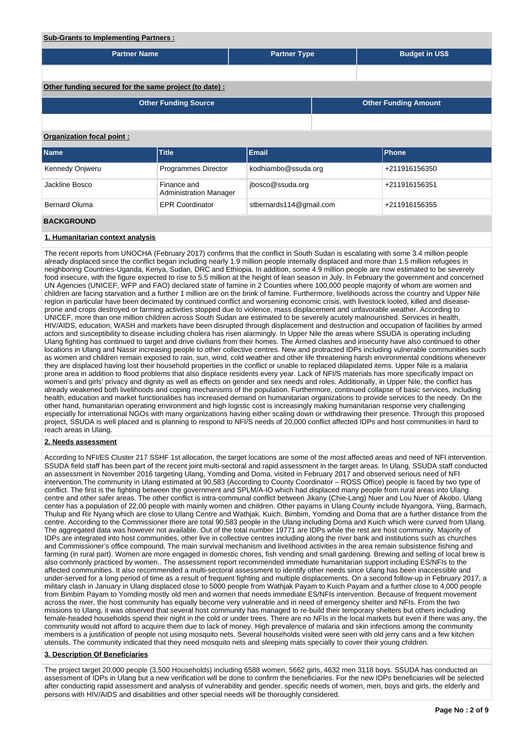# **Sub-Grants to Implementing Partners :**

| <b>Partner Name</b>                                    |                                              | <b>Partner Type</b>     |  | <b>Budget in US\$</b>       |  |  |  |  |  |  |
|--------------------------------------------------------|----------------------------------------------|-------------------------|--|-----------------------------|--|--|--|--|--|--|
|                                                        |                                              |                         |  |                             |  |  |  |  |  |  |
| Other funding secured for the same project (to date) : |                                              |                         |  |                             |  |  |  |  |  |  |
|                                                        | <b>Other Funding Source</b>                  |                         |  | <b>Other Funding Amount</b> |  |  |  |  |  |  |
|                                                        |                                              |                         |  |                             |  |  |  |  |  |  |
| <b>Organization focal point:</b>                       |                                              |                         |  |                             |  |  |  |  |  |  |
| <b>Name</b>                                            | <b>Title</b>                                 | <b>Email</b>            |  | <b>Phone</b>                |  |  |  |  |  |  |
| Kennedy Onjweru                                        | Programmes Director                          | kodhiambo@ssuda.org     |  | +211916156350               |  |  |  |  |  |  |
| Jackline Bosco                                         | Finance and<br><b>Administration Manager</b> | jbosco@ssuda.org        |  | +211916156351               |  |  |  |  |  |  |
| <b>Bernard Oluma</b>                                   | <b>EPR Coordinator</b>                       | stbernards114@gmail.com |  | +211916156355               |  |  |  |  |  |  |
| <b>BACKGROUND</b>                                      |                                              |                         |  |                             |  |  |  |  |  |  |

#### **1. Humanitarian context analysis**

The recent reports from UNOCHA (February 2017) confirms that the conflict in South Sudan is escalating with some 3.4 million people already displaced since the conflict began including nearly 1.9 million people internally displaced and more than 1.5 million refugees in neighboring Countries-Uganda, Kenya, Sudan, DRC and Ethiopia. In addition, some 4.9 million people are now estimated to be severely food insecure, with the figure expected to rise to 5.5 million at the height of lean season in July. In February the government and concerned UN Agencies (UNICEF, WFP and FAO) declared state of famine in 2 Counties where 100,000 people majority of whom are women and children are facing starvation and a further 1 million are on the brink of famine. Furthermore, livelihoods across the country and Upper Nile region in particular have been decimated by continued conflict and worsening economic crisis, with livestock looted, killed and diseaseprone and crops destroyed or farming activities stopped due to violence, mass displacement and unfavorable weather. According to UNICEF, more than one million children across South Sudan are estimated to be severely acutely malnourished. Services in health, HIV/AIDS, education, WASH and markets have been disrupted through displacement and destruction and occupation of facilities by armed actors and susceptibility to disease including cholera has risen alarmingly. In Upper Nile the areas where SSUDA is operating including Ulang fighting has continued to target and drive civilians from their homes. The Armed clashes and insecurity have also continued to other locations in Ulang and Nassir increasing people to other collective centres. New and protracted IDPs including vulnerable communities such as women and children remain exposed to rain, sun, wind, cold weather and other life threatening harsh environmental conditions whenever they are displaced having lost their household properties in the conflict or unable to replaced dilapidated items. Upper Nile is a malaria prone area in addition to flood problems that also displace residents every year. Lack of NFI/S materials has more specifically impact on women's and girls' privacy and dignity as well as effects on gender and sex needs and roles. Additionally, in Upper Nile, the conflict has already weakened both livelihoods and coping mechanisms of the population. Furthermore, continued collapse of basic services, including health, education and market functionalities has increased demand on humanitarian organizations to provide services to the needy. On the other hand, humanitarian operating environment and high logistic cost is increasingly making humanitarian response very challenging especially for international NGOs with many organizations having either scaling down or withdrawing their presence. Through this proposed project, SSUDA is well placed and is planning to respond to NFI/S needs of 20,000 conflict affected IDPs and host communities in hard to reach areas in Ulang.

#### **2. Needs assessment**

According to NFI/ES Cluster 217 SSHF 1st allocation, the target locations are some of the most affected areas and need of NFI intervention. SSUDA field staff has been part of the recent joint multi-sectoral and rapid assessment in the target areas. In Ulang, SSUDA staff conducted an assessment in November 2016 targeting Ulang, Yomding and Doma, visited in February 2017 and observed serious need of NFI intervention.The community in Ulang estimated at 90,583 (According to County Coordinator – ROSS Office) people is faced by two type of conflict. The first is the fighting between the government and SPLM/A-IO which had displaced many people from rural areas into Ulang centre and other safer areas. The other conflict is intra-communal conflict between Jikany (Chie-Lang) Nuer and Lou Nuer of Akobo. Ulang center has a population of 22,00 people with mainly women and children. Other payams in Ulang County include Nyangora, Yiing, Barmach, Thulup and Rir Nyang which are close to Ulang Centre and Wathjak, Kuich, Bimbim, Yomding and Doma that are a further distance from the centre. According to the Commissioner there are total 90,583 people in the Ulang including Doma and Kuich which were curved from Ulang. The aggregated data was however not available. Out of the total number 19771 are IDPs while the rest are host community. Majority of IDPs are integrated into host communities, other live in collective centres including along the river bank and institutions such as churches and Commissioner's office compound. The main survival mechanism and livelihood activities in the area remain subsistence fishing and farming (in rural part). Women are more engaged in domestic chores, fish vending and small gardening. Brewing and selling of local brew is also commonly practiced by women.. The assessment report recommended immediate humanitarian support including ES/NFIs to the affected communities. It also recommended a multi-sectoral assessment to identify other needs since Ulang has been inaccessible and under-served for a long period of time as a result of frequent fighting and multiple displacements. On a second follow-up in February 2017, a military clash in January in Ulang displaced close to 5000 people from Wathjak Payam to Kuich Payam and a further close to 4,000 people from Bimbim Payam to Yomding mostly old men and women that needs immediate ES/NFIs intervention. Because of frequent movement across the river, the host community has equally become very vulnerable and in need of emergency shelter and NFIs. From the two missions to Ulang, it was observed that several host community has managed to re-build their temporary shelters but others including female-headed households spend their night in the cold or under trees. There are no NFIs in the local markets but even if there was any, the community would not afford to acquire them due to lack of money. High prevalence of malaria and skin infections among the community members is a justification of people not using mosquito nets. Several households visited were seen with old jerry cans and a few kitchen utensils. The community indicated that they need mosquito nets and sleeping mats specially to cover their young children.

#### **3. Description Of Beneficiaries**

The project target 20,000 people (3,500 Households) including 6588 women, 5662 girls, 4632 men 3118 boys. SSUDA has conducted an assessment of IDPs in Ulang but a new verification will be done to confirm the beneficiaries. For the new IDPs beneficiaries will be selected after conducting rapid assessment and analysis of vulnerability and gender. specific needs of women, men, boys and girls, the elderly and persons with HIV/AIDS and disabilities and other special needs will be thoroughly considered.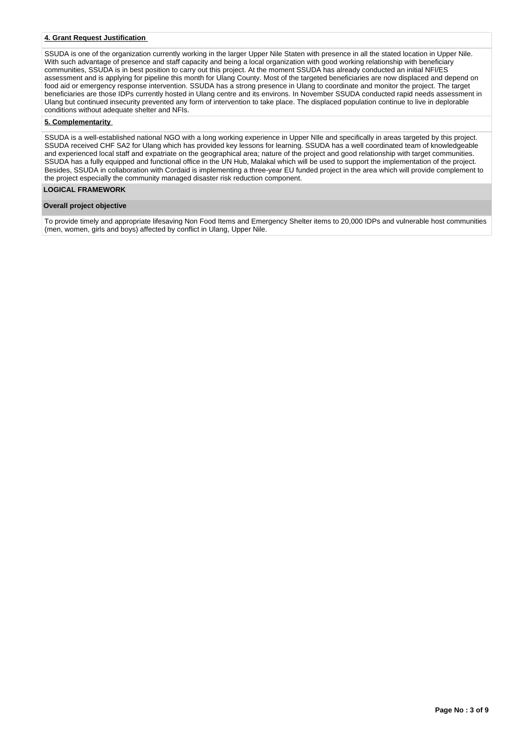# **4. Grant Request Justification**

SSUDA is one of the organization currently working in the larger Upper Nile Staten with presence in all the stated location in Upper Nile. With such advantage of presence and staff capacity and being a local organization with good working relationship with beneficiary communities, SSUDA is in best position to carry out this project. At the moment SSUDA has already conducted an initial NFI/ES assessment and is applying for pipeline this month for Ulang County. Most of the targeted beneficiaries are now displaced and depend on food aid or emergency response intervention. SSUDA has a strong presence in Ulang to coordinate and monitor the project. The target beneficiaries are those IDPs currently hosted in Ulang centre and its environs. In November SSUDA conducted rapid needs assessment in Ulang but continued insecurity prevented any form of intervention to take place. The displaced population continue to live in deplorable conditions without adequate shelter and NFIs.

#### **5. Complementarity**

SSUDA is a well-established national NGO with a long working experience in Upper NIle and specifically in areas targeted by this project. SSUDA received CHF SA2 for Ulang which has provided key lessons for learning. SSUDA has a well coordinated team of knowledgeable and experienced local staff and expatriate on the geographical area; nature of the project and good relationship with target communities. SSUDA has a fully equipped and functional office in the UN Hub, Malakal which will be used to support the implementation of the project. Besides, SSUDA in collaboration with Cordaid is implementing a three-year EU funded project in the area which will provide complement to the project especially the community managed disaster risk reduction component.

# **LOGICAL FRAMEWORK**

# **Overall project objective**

To provide timely and appropriate lifesaving Non Food Items and Emergency Shelter items to 20,000 IDPs and vulnerable host communities (men, women, girls and boys) affected by conflict in Ulang, Upper Nile.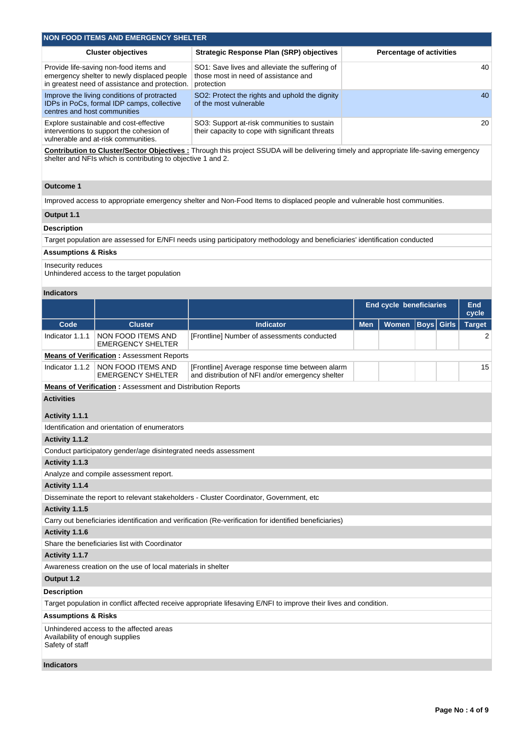| NON FOOD ITEMS AND EMERGENCY SHELTER                                                                                                    |                                                                                                      |                                 |  |  |  |  |  |  |  |  |
|-----------------------------------------------------------------------------------------------------------------------------------------|------------------------------------------------------------------------------------------------------|---------------------------------|--|--|--|--|--|--|--|--|
| <b>Cluster objectives</b>                                                                                                               | <b>Strategic Response Plan (SRP) objectives</b>                                                      | <b>Percentage of activities</b> |  |  |  |  |  |  |  |  |
| Provide life-saving non-food items and<br>emergency shelter to newly displaced people<br>in greatest need of assistance and protection. | SO1: Save lives and alleviate the suffering of<br>those most in need of assistance and<br>protection | 40                              |  |  |  |  |  |  |  |  |
| Improve the living conditions of protracted<br>IDPs in PoCs, formal IDP camps, collective<br>centres and host communities               | SO2: Protect the rights and uphold the dignity<br>of the most vulnerable                             | 40                              |  |  |  |  |  |  |  |  |
| Explore sustainable and cost-effective<br>interventions to support the cohesion of<br>vulnerable and at-risk communities.               | SO3: Support at-risk communities to sustain<br>their capacity to cope with significant threats       | 20                              |  |  |  |  |  |  |  |  |

**Contribution to Cluster/Sector Objectives :** Through this project SSUDA will be delivering timely and appropriate life-saving emergency shelter and NFIs which is contributing to objective 1 and 2.

# **Outcome 1**

Improved access to appropriate emergency shelter and Non-Food Items to displaced people and vulnerable host communities.

# **Output 1.1**

# **Description**

Target population are assessed for E/NFI needs using participatory methodology and beneficiaries' identification conducted

# **Assumptions & Risks**

Insecurity reduces

Unhindered access to the target population

## **Indicators**

|                                                                   |                                                                 |                                                                                                                   | <b>End cycle beneficiaries</b> |       |             |  | End<br>cycle  |  |  |  |
|-------------------------------------------------------------------|-----------------------------------------------------------------|-------------------------------------------------------------------------------------------------------------------|--------------------------------|-------|-------------|--|---------------|--|--|--|
| Code                                                              | <b>Cluster</b>                                                  | Indicator                                                                                                         | <b>Men</b>                     | Women | Boys  Girls |  | <b>Target</b> |  |  |  |
| Indicator 1.1.1                                                   | NON FOOD ITEMS AND<br><b>EMERGENCY SHELTER</b>                  | [Frontline] Number of assessments conducted                                                                       |                                |       |             |  | 2             |  |  |  |
|                                                                   | <b>Means of Verification: Assessment Reports</b>                |                                                                                                                   |                                |       |             |  |               |  |  |  |
| Indicator 1.1.2                                                   | NON FOOD ITEMS AND<br><b>EMERGENCY SHELTER</b>                  | [Frontline] Average response time between alarm<br>and distribution of NFI and/or emergency shelter               |                                |       |             |  |               |  |  |  |
| <b>Means of Verification:</b> Assessment and Distribution Reports |                                                                 |                                                                                                                   |                                |       |             |  |               |  |  |  |
| <b>Activities</b>                                                 |                                                                 |                                                                                                                   |                                |       |             |  |               |  |  |  |
| Activity 1.1.1                                                    |                                                                 |                                                                                                                   |                                |       |             |  |               |  |  |  |
|                                                                   | Identification and orientation of enumerators                   |                                                                                                                   |                                |       |             |  |               |  |  |  |
| Activity 1.1.2                                                    |                                                                 |                                                                                                                   |                                |       |             |  |               |  |  |  |
|                                                                   | Conduct participatory gender/age disintegrated needs assessment |                                                                                                                   |                                |       |             |  |               |  |  |  |
| Activity 1.1.3                                                    |                                                                 |                                                                                                                   |                                |       |             |  |               |  |  |  |
|                                                                   | Analyze and compile assessment report.                          |                                                                                                                   |                                |       |             |  |               |  |  |  |
| Activity 1.1.4                                                    |                                                                 |                                                                                                                   |                                |       |             |  |               |  |  |  |
|                                                                   |                                                                 | Disseminate the report to relevant stakeholders - Cluster Coordinator, Government, etc.                           |                                |       |             |  |               |  |  |  |
| Activity 1.1.5                                                    |                                                                 |                                                                                                                   |                                |       |             |  |               |  |  |  |
|                                                                   |                                                                 | Carry out beneficiaries identification and verification (Re-verification for identified beneficiaries)            |                                |       |             |  |               |  |  |  |
| Activity 1.1.6                                                    |                                                                 |                                                                                                                   |                                |       |             |  |               |  |  |  |
|                                                                   | Share the beneficiaries list with Coordinator                   |                                                                                                                   |                                |       |             |  |               |  |  |  |
| Activity 1.1.7                                                    |                                                                 |                                                                                                                   |                                |       |             |  |               |  |  |  |
|                                                                   | Awareness creation on the use of local materials in shelter     |                                                                                                                   |                                |       |             |  |               |  |  |  |
| Output 1.2                                                        |                                                                 |                                                                                                                   |                                |       |             |  |               |  |  |  |
| <b>Description</b>                                                |                                                                 |                                                                                                                   |                                |       |             |  |               |  |  |  |
|                                                                   |                                                                 | Target population in conflict affected receive appropriate lifesaving E/NFI to improve their lives and condition. |                                |       |             |  |               |  |  |  |
| <b>Assumptions &amp; Risks</b>                                    |                                                                 |                                                                                                                   |                                |       |             |  |               |  |  |  |
| Availability of enough supplies<br>Safety of staff                | Unhindered access to the affected areas                         |                                                                                                                   |                                |       |             |  |               |  |  |  |
| <b>Indicators</b>                                                 |                                                                 |                                                                                                                   |                                |       |             |  |               |  |  |  |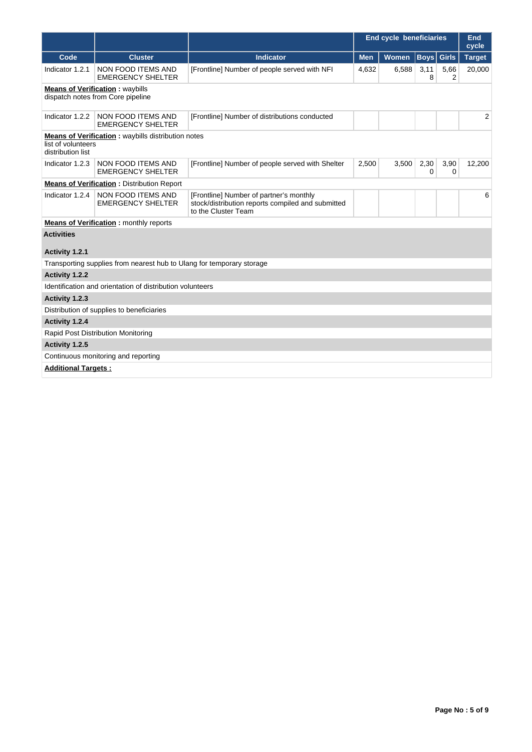|                                         |                                                                             |                                                                                                                     | <b>End cycle beneficiaries</b> |              |                   |                        | End<br>cycle  |
|-----------------------------------------|-----------------------------------------------------------------------------|---------------------------------------------------------------------------------------------------------------------|--------------------------------|--------------|-------------------|------------------------|---------------|
| Code                                    | <b>Cluster</b>                                                              | <b>Indicator</b>                                                                                                    | <b>Men</b>                     | <b>Women</b> | <b>Boys</b> Girls |                        | <b>Target</b> |
| Indicator 1.2.1                         | NON FOOD ITEMS AND<br><b>EMERGENCY SHELTER</b>                              | [Frontline] Number of people served with NFI                                                                        | 4,632                          | 6,588        | 3,11<br>8         | 5,66<br>$\overline{2}$ | 20,000        |
|                                         | <b>Means of Verification:</b> waybills<br>dispatch notes from Core pipeline |                                                                                                                     |                                |              |                   |                        |               |
| Indicator 1.2.2                         | NON FOOD ITEMS AND<br><b>EMERGENCY SHELTER</b>                              | [Frontline] Number of distributions conducted                                                                       |                                |              |                   |                        | 2             |
| list of volunteers<br>distribution list | <b>Means of Verification:</b> waybills distribution notes                   |                                                                                                                     |                                |              |                   |                        |               |
| Indicator 1.2.3                         | NON FOOD ITEMS AND<br><b>EMERGENCY SHELTER</b>                              | [Frontline] Number of people served with Shelter                                                                    | 2,500                          | 3,500        | 2,30<br>0         | 3,90<br>0              | 12,200        |
|                                         | <b>Means of Verification:</b> Distribution Report                           |                                                                                                                     |                                |              |                   |                        |               |
| Indicator 1.2.4                         | NON FOOD ITEMS AND<br><b>EMERGENCY SHELTER</b>                              | [Frontline] Number of partner's monthly<br>stock/distribution reports compiled and submitted<br>to the Cluster Team |                                |              |                   |                        | 6             |
|                                         | <b>Means of Verification : monthly reports</b>                              |                                                                                                                     |                                |              |                   |                        |               |
| <b>Activities</b>                       |                                                                             |                                                                                                                     |                                |              |                   |                        |               |
| Activity 1.2.1                          |                                                                             |                                                                                                                     |                                |              |                   |                        |               |
|                                         | Transporting supplies from nearest hub to Ulang for temporary storage       |                                                                                                                     |                                |              |                   |                        |               |
| Activity 1.2.2                          |                                                                             |                                                                                                                     |                                |              |                   |                        |               |
|                                         | Identification and orientation of distribution volunteers                   |                                                                                                                     |                                |              |                   |                        |               |
| Activity 1.2.3                          |                                                                             |                                                                                                                     |                                |              |                   |                        |               |
|                                         | Distribution of supplies to beneficiaries                                   |                                                                                                                     |                                |              |                   |                        |               |
| Activity 1.2.4                          |                                                                             |                                                                                                                     |                                |              |                   |                        |               |
|                                         | Rapid Post Distribution Monitoring                                          |                                                                                                                     |                                |              |                   |                        |               |
| Activity 1.2.5                          |                                                                             |                                                                                                                     |                                |              |                   |                        |               |
|                                         | Continuous monitoring and reporting                                         |                                                                                                                     |                                |              |                   |                        |               |
| <b>Additional Targets:</b>              |                                                                             |                                                                                                                     |                                |              |                   |                        |               |
|                                         |                                                                             |                                                                                                                     |                                |              |                   |                        |               |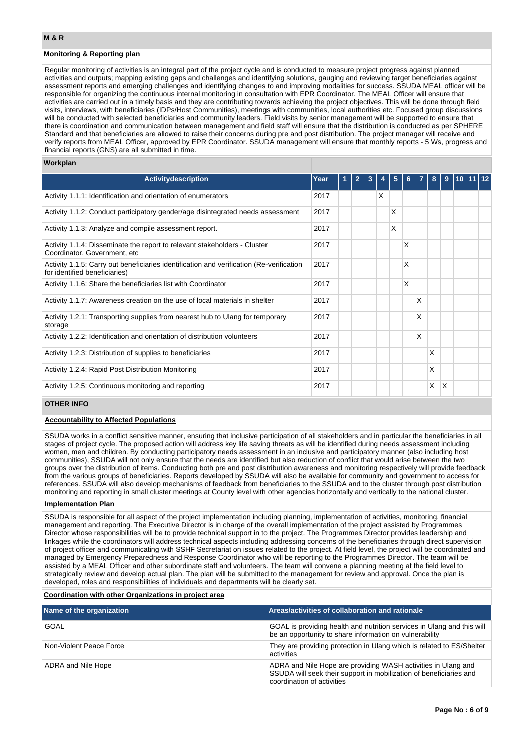# **Monitoring & Reporting plan**

Regular monitoring of activities is an integral part of the project cycle and is conducted to measure project progress against planned activities and outputs; mapping existing gaps and challenges and identifying solutions, gauging and reviewing target beneficiaries against assessment reports and emerging challenges and identifying changes to and improving modalities for success. SSUDA MEAL officer will be responsible for organizing the continuous internal monitoring in consultation with EPR Coordinator. The MEAL Officer will ensure that activities are carried out in a timely basis and they are contributing towards achieving the project objectives. This will be done through field visits, interviews, with beneficiaries (IDPs/Host Communities), meetings with communities, local authorities etc. Focused group discussions will be conducted with selected beneficiaries and community leaders. Field visits by senior management will be supported to ensure that there is coordination and communication between management and field staff will ensure that the distribution is conducted as per SPHERE Standard and that beneficiaries are allowed to raise their concerns during pre and post distribution. The project manager will receive and verify reports from MEAL Officer, approved by EPR Coordinator. SSUDA management will ensure that monthly reports - 5 Ws, progress and financial reports (GNS) are all submitted in time.

#### **Workplan**

| <b>Activity description</b>                                                                                               | Year | 1. | $\mathbf{2}$ | 3 |   | 5 | 6.       |   | 8 | 9 | 110 11 12 |  |
|---------------------------------------------------------------------------------------------------------------------------|------|----|--------------|---|---|---|----------|---|---|---|-----------|--|
| Activity 1.1.1: Identification and orientation of enumerators                                                             | 2017 |    |              |   | X |   |          |   |   |   |           |  |
| Activity 1.1.2: Conduct participatory gender/age disintegrated needs assessment                                           | 2017 |    |              |   |   | Χ |          |   |   |   |           |  |
| Activity 1.1.3: Analyze and compile assessment report.                                                                    | 2017 |    |              |   |   | X |          |   |   |   |           |  |
| Activity 1.1.4: Disseminate the report to relevant stakeholders - Cluster<br>Coordinator, Government, etc.                | 2017 |    |              |   |   |   | $\times$ |   |   |   |           |  |
| Activity 1.1.5: Carry out beneficiaries identification and verification (Re-verification<br>for identified beneficiaries) | 2017 |    |              |   |   |   | $\times$ |   |   |   |           |  |
| Activity 1.1.6: Share the beneficiaries list with Coordinator                                                             | 2017 |    |              |   |   |   | $\times$ |   |   |   |           |  |
| Activity 1.1.7: Awareness creation on the use of local materials in shelter                                               | 2017 |    |              |   |   |   |          | X |   |   |           |  |
| Activity 1.2.1: Transporting supplies from nearest hub to Ulang for temporary<br>storage                                  | 2017 |    |              |   |   |   |          | X |   |   |           |  |
| Activity 1.2.2: Identification and orientation of distribution volunteers                                                 | 2017 |    |              |   |   |   |          | X |   |   |           |  |
| Activity 1.2.3: Distribution of supplies to beneficiaries                                                                 | 2017 |    |              |   |   |   |          |   | X |   |           |  |
| Activity 1.2.4: Rapid Post Distribution Monitoring                                                                        | 2017 |    |              |   |   |   |          |   | X |   |           |  |
| Activity 1.2.5: Continuous monitoring and reporting                                                                       | 2017 |    |              |   |   |   |          |   | X | X |           |  |

### **OTHER INFO**

#### **Accountability to Affected Populations**

SSUDA works in a conflict sensitive manner, ensuring that inclusive participation of all stakeholders and in particular the beneficiaries in all stages of project cycle. The proposed action will address key life saving threats as will be identified during needs assessment including women, men and children. By conducting participatory needs assessment in an inclusive and participatory manner (also including host communities), SSUDA will not only ensure that the needs are identified but also reduction of conflict that would arise between the two groups over the distribution of items. Conducting both pre and post distribution awareness and monitoring respectively will provide feedback from the various groups of beneficiaries. Reports developed by SSUDA will also be available for community and government to access for references. SSUDA will also develop mechanisms of feedback from beneficiaries to the SSUDA and to the cluster through post distribution monitoring and reporting in small cluster meetings at County level with other agencies horizontally and vertically to the national cluster.

## **Implementation Plan**

SSUDA is responsible for all aspect of the project implementation including planning, implementation of activities, monitoring, financial management and reporting. The Executive Director is in charge of the overall implementation of the project assisted by Programmes Director whose responsibilities will be to provide technical support in to the project. The Programmes Director provides leadership and linkages while the coordinators will address technical aspects including addressing concerns of the beneficiaries through direct supervision of project officer and communicating with SSHF Secretariat on issues related to the project. At field level, the project will be coordinated and managed by Emergency Preparedness and Response Coordinator who will be reporting to the Programmes Director. The team will be assisted by a MEAL Officer and other subordinate staff and volunteers. The team will convene a planning meeting at the field level to strategically review and develop actual plan. The plan will be submitted to the management for review and approval. Once the plan is developed, roles and responsibilities of individuals and departments will be clearly set.

## **Coordination with other Organizations in project area**

| Name of the organization | Areas/activities of collaboration and rationale                                                                                                                   |
|--------------------------|-------------------------------------------------------------------------------------------------------------------------------------------------------------------|
| GOAL                     | GOAL is providing health and nutrition services in Ulang and this will<br>be an opportunity to share information on vulnerability                                 |
| Non-Violent Peace Force  | They are providing protection in Ulang which is related to ES/Shelter<br>activities                                                                               |
| ADRA and Nile Hope       | ADRA and Nile Hope are providing WASH activities in Ulang and<br>SSUDA will seek their support in mobilization of beneficiaries and<br>coordination of activities |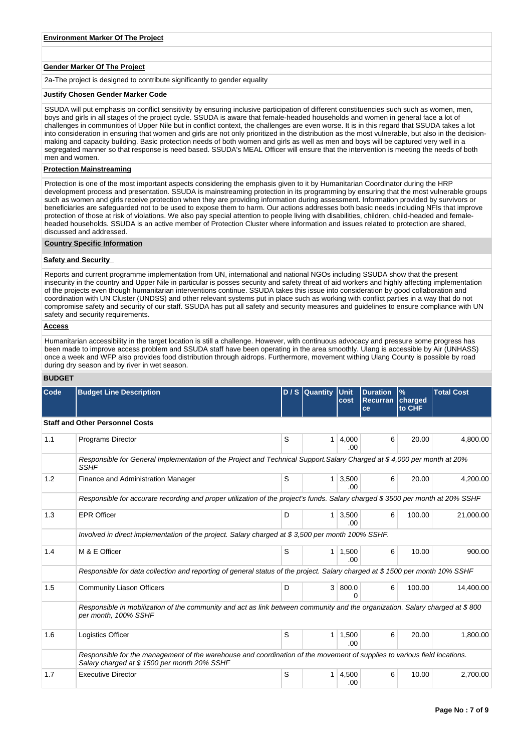### **Gender Marker Of The Project**

2a-The project is designed to contribute significantly to gender equality

#### **Justify Chosen Gender Marker Code**

SSUDA will put emphasis on conflict sensitivity by ensuring inclusive participation of different constituencies such such as women, men, boys and girls in all stages of the project cycle. SSUDA is aware that female-headed households and women in general face a lot of challenges in communities of Upper Nile but in conflict context, the challenges are even worse. It is in this regard that SSUDA takes a lot into consideration in ensuring that women and girls are not only prioritized in the distribution as the most vulnerable, but also in the decisionmaking and capacity building. Basic protection needs of both women and girls as well as men and boys will be captured very well in a segregated manner so that response is need based. SSUDA's MEAL Officer will ensure that the intervention is meeting the needs of both men and women.

## **Protection Mainstreaming**

Protection is one of the most important aspects considering the emphasis given to it by Humanitarian Coordinator during the HRP development process and presentation. SSUDA is mainstreaming protection in its programming by ensuring that the most vulnerable groups such as women and girls receive protection when they are providing information during assessment. Information provided by survivors or beneficiaries are safeguarded not to be used to expose them to harm. Our actions addresses both basic needs including NFIs that improve protection of those at risk of violations. We also pay special attention to people living with disabilities, children, child-headed and femaleheaded households. SSUDA is an active member of Protection Cluster where information and issues related to protection are shared, discussed and addressed.

# **Country Specific Information**

#### **Safety and Security**

Reports and current programme implementation from UN, international and national NGOs including SSUDA show that the present insecurity in the country and Upper Nile in particular is posses security and safety threat of aid workers and highly affecting implementation of the projects even though humanitarian interventions continue. SSUDA takes this issue into consideration by good collaboration and coordination with UN Cluster (UNDSS) and other relevant systems put in place such as working with conflict parties in a way that do not compromise safety and security of our staff. SSUDA has put all safety and security measures and guidelines to ensure compliance with UN safety and security requirements.

# **Access**

Humanitarian accessibility in the target location is still a challenge. However, with continuous advocacy and pressure some progress has been made to improve access problem and SSUDA staff have been operating in the area smoothly. Ulang is accessible by Air (UNHASS) once a week and WFP also provides food distribution through aidrops. Furthermore, movement withing Ulang County is possible by road during dry season and by river in wet season.

#### **BUDGET**

| Code | <b>Budget Line Description</b>                                                                                                                                          |   | D / S Quantity Unit | cost                         | <b>Duration</b><br><b>Recurran</b><br>ce | $\frac{9}{6}$<br>charged<br>to CHF | <b>Total Cost</b> |  |  |  |  |
|------|-------------------------------------------------------------------------------------------------------------------------------------------------------------------------|---|---------------------|------------------------------|------------------------------------------|------------------------------------|-------------------|--|--|--|--|
|      | <b>Staff and Other Personnel Costs</b>                                                                                                                                  |   |                     |                              |                                          |                                    |                   |  |  |  |  |
| 1.1  | <b>Programs Director</b>                                                                                                                                                | S | $\mathbf{1}$        | 4,000<br>.00.                | 6                                        | 20.00                              | 4.800.00          |  |  |  |  |
|      | Responsible for General Implementation of the Project and Technical Support. Salary Charged at \$4,000 per month at 20%<br><b>SSHF</b>                                  |   |                     |                              |                                          |                                    |                   |  |  |  |  |
| 1.2  | Finance and Administration Manager                                                                                                                                      | S | 1 <sup>1</sup>      | 3,500<br>.00                 | 6                                        | 20.00                              | 4.200.00          |  |  |  |  |
|      | Responsible for accurate recording and proper utilization of the project's funds. Salary charged \$3500 per month at 20% SSHF                                           |   |                     |                              |                                          |                                    |                   |  |  |  |  |
| 1.3  | <b>EPR Officer</b>                                                                                                                                                      | D |                     | $1 \overline{)3,500}$<br>.00 | 6                                        | 100.00                             | 21,000.00         |  |  |  |  |
|      | Involved in direct implementation of the project. Salary charged at \$3,500 per month 100% SSHF.                                                                        |   |                     |                              |                                          |                                    |                   |  |  |  |  |
| 1.4  | M & E Officer                                                                                                                                                           | S | 1 <sup>1</sup>      | 1,500<br>.00                 | 6                                        | 10.00                              | 900.00            |  |  |  |  |
|      | Responsible for data collection and reporting of general status of the project. Salary charged at \$1500 per month 10% SSHF                                             |   |                     |                              |                                          |                                    |                   |  |  |  |  |
| 1.5  | <b>Community Liason Officers</b>                                                                                                                                        | D |                     | 3   800.0<br>$\Omega$        | 6                                        | 100.00                             | 14,400.00         |  |  |  |  |
|      | Responsible in mobilization of the community and act as link between community and the organization. Salary charged at \$800<br>per month, 100% SSHF                    |   |                     |                              |                                          |                                    |                   |  |  |  |  |
| 1.6  | Logistics Officer                                                                                                                                                       | S |                     | $1 \mid 1,500$<br>.00        | 6                                        | 20.00                              | 1,800.00          |  |  |  |  |
|      | Responsible for the management of the warehouse and coordination of the movement of supplies to various field locations.<br>Salary charged at \$1500 per month 20% SSHF |   |                     |                              |                                          |                                    |                   |  |  |  |  |
| 1.7  | <b>Executive Director</b>                                                                                                                                               | S | 1 <sup>1</sup>      | 4.500<br>.00                 | 6                                        | 10.00                              | 2.700.00          |  |  |  |  |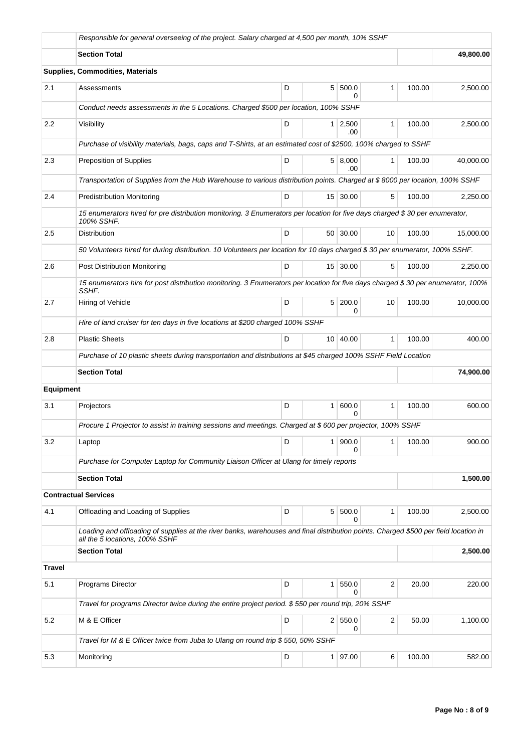|                  | Responsible for general overseeing of the project. Salary charged at 4,500 per month, 10% SSHF                                                                         |   |                |                       |              |        |           |  |  |  |  |
|------------------|------------------------------------------------------------------------------------------------------------------------------------------------------------------------|---|----------------|-----------------------|--------------|--------|-----------|--|--|--|--|
|                  | <b>Section Total</b>                                                                                                                                                   |   |                |                       |              |        | 49,800.00 |  |  |  |  |
|                  | Supplies, Commodities, Materials                                                                                                                                       |   |                |                       |              |        |           |  |  |  |  |
| 2.1              | Assessments                                                                                                                                                            | D | 5 <sup>1</sup> | 500.0<br>0            | $\mathbf{1}$ | 100.00 | 2,500.00  |  |  |  |  |
|                  | Conduct needs assessments in the 5 Locations. Charged \$500 per location, 100% SSHF                                                                                    |   |                |                       |              |        |           |  |  |  |  |
| $2.2\,$          | Visibility                                                                                                                                                             | D |                | $1 \mid 2,500$<br>.00 | $\mathbf{1}$ | 100.00 | 2,500.00  |  |  |  |  |
|                  | Purchase of visibility materials, bags, caps and T-Shirts, at an estimated cost of \$2500, 100% charged to SSHF                                                        |   |                |                       |              |        |           |  |  |  |  |
| 2.3              | Preposition of Supplies                                                                                                                                                | D |                | 5   8,000<br>.00      | 1            | 100.00 | 40,000.00 |  |  |  |  |
|                  | Transportation of Supplies from the Hub Warehouse to various distribution points. Charged at \$8000 per location, 100% SSHF                                            |   |                |                       |              |        |           |  |  |  |  |
| 2.4              | <b>Predistribution Monitoring</b>                                                                                                                                      | D |                | 15 30.00              | 5            | 100.00 | 2,250.00  |  |  |  |  |
|                  | 15 enumerators hired for pre distribution monitoring. 3 Enumerators per location for five days charged \$30 per enumerator,<br>100% SSHF.                              |   |                |                       |              |        |           |  |  |  |  |
| 2.5              | Distribution                                                                                                                                                           | D |                | 50   30.00            | 10           | 100.00 | 15.000.00 |  |  |  |  |
|                  | 50 Volunteers hired for during distribution. 10 Volunteers per location for 10 days charged \$30 per enumerator, 100% SSHF.                                            |   |                |                       |              |        |           |  |  |  |  |
| 2.6              | Post Distribution Monitoring                                                                                                                                           | D |                | 15 30.00              | 5            | 100.00 | 2,250.00  |  |  |  |  |
|                  | 15 enumerators hire for post distribution monitoring. 3 Enumerators per location for five days charged \$30 per enumerator, 100%<br>SSHF.                              |   |                |                       |              |        |           |  |  |  |  |
| 2.7              | Hiring of Vehicle                                                                                                                                                      | D | 5              | 200.0<br>ი            | 10           | 100.00 | 10,000.00 |  |  |  |  |
|                  | Hire of land cruiser for ten days in five locations at \$200 charged 100% SSHF                                                                                         |   |                |                       |              |        |           |  |  |  |  |
| 2.8              | <b>Plastic Sheets</b>                                                                                                                                                  | D |                | 10 40.00              | 1            | 100.00 | 400.00    |  |  |  |  |
|                  | Purchase of 10 plastic sheets during transportation and distributions at \$45 charged 100% SSHF Field Location                                                         |   |                |                       |              |        |           |  |  |  |  |
|                  | <b>Section Total</b>                                                                                                                                                   |   |                |                       |              |        | 74,900.00 |  |  |  |  |
| <b>Equipment</b> |                                                                                                                                                                        |   |                |                       |              |        |           |  |  |  |  |
| 3.1              | Projectors                                                                                                                                                             | D | 1              | 600.0                 | 1            | 100.00 | 600.00    |  |  |  |  |
|                  | Procure 1 Projector to assist in training sessions and meetings. Charged at \$ 600 per projector, 100% SSHF                                                            |   |                |                       |              |        |           |  |  |  |  |
| 3.2              | Laptop                                                                                                                                                                 | D | 1              | 900.0<br>n            | 1            | 100.00 | 900.00    |  |  |  |  |
|                  | Purchase for Computer Laptop for Community Liaison Officer at Ulang for timely reports                                                                                 |   |                |                       |              |        |           |  |  |  |  |
|                  | <b>Section Total</b>                                                                                                                                                   |   |                |                       |              |        | 1,500.00  |  |  |  |  |
|                  | <b>Contractual Services</b>                                                                                                                                            |   |                |                       |              |        |           |  |  |  |  |
| 4.1              | Offloading and Loading of Supplies                                                                                                                                     | D | 5 <sup>1</sup> | 500.0<br>0            | $\mathbf{1}$ | 100.00 | 2,500.00  |  |  |  |  |
|                  | Loading and offloading of supplies at the river banks, warehouses and final distribution points. Charged \$500 per field location in<br>all the 5 locations, 100% SSHF |   |                |                       |              |        |           |  |  |  |  |
|                  | <b>Section Total</b>                                                                                                                                                   |   |                |                       |              |        | 2,500.00  |  |  |  |  |
| <b>Travel</b>    |                                                                                                                                                                        |   |                |                       |              |        |           |  |  |  |  |
| 5.1              | <b>Programs Director</b>                                                                                                                                               | D | 1 <sup>1</sup> | 550.0<br>0            | 2            | 20.00  | 220.00    |  |  |  |  |
|                  | Travel for programs Director twice during the entire project period. \$550 per round trip, 20% SSHF                                                                    |   |                |                       |              |        |           |  |  |  |  |
| 5.2              | M & E Officer                                                                                                                                                          | D | 2 <sup>1</sup> | 550.0<br>0            | 2            | 50.00  | 1,100.00  |  |  |  |  |
|                  | Travel for M & E Officer twice from Juba to Ulang on round trip \$550, 50% SSHF                                                                                        |   |                |                       |              |        |           |  |  |  |  |
| 5.3              | Monitoring                                                                                                                                                             | D |                | 1   97.00             | 6            | 100.00 | 582.00    |  |  |  |  |